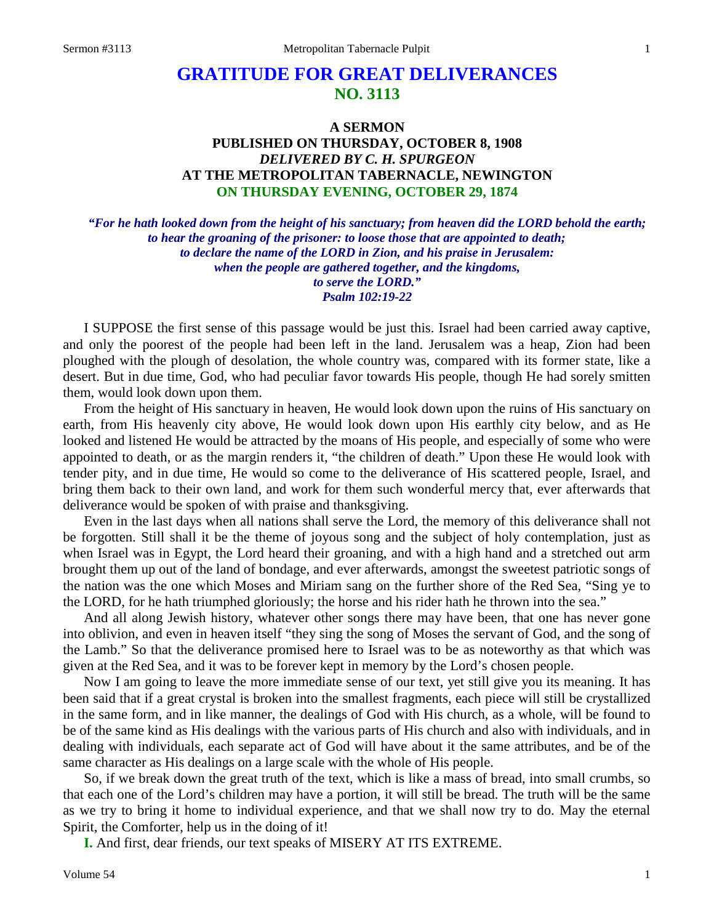# **GRATITUDE FOR GREAT DELIVERANCES NO. 3113**

## **A SERMON PUBLISHED ON THURSDAY, OCTOBER 8, 1908** *DELIVERED BY C. H. SPURGEON* **AT THE METROPOLITAN TABERNACLE, NEWINGTON ON THURSDAY EVENING, OCTOBER 29, 1874**

*"For he hath looked down from the height of his sanctuary; from heaven did the LORD behold the earth; to hear the groaning of the prisoner: to loose those that are appointed to death; to declare the name of the LORD in Zion, and his praise in Jerusalem: when the people are gathered together, and the kingdoms, to serve the LORD." Psalm 102:19-22*

I SUPPOSE the first sense of this passage would be just this. Israel had been carried away captive, and only the poorest of the people had been left in the land. Jerusalem was a heap, Zion had been ploughed with the plough of desolation, the whole country was, compared with its former state, like a desert. But in due time, God, who had peculiar favor towards His people, though He had sorely smitten them, would look down upon them.

From the height of His sanctuary in heaven, He would look down upon the ruins of His sanctuary on earth, from His heavenly city above, He would look down upon His earthly city below, and as He looked and listened He would be attracted by the moans of His people, and especially of some who were appointed to death, or as the margin renders it, "the children of death." Upon these He would look with tender pity, and in due time, He would so come to the deliverance of His scattered people, Israel, and bring them back to their own land, and work for them such wonderful mercy that, ever afterwards that deliverance would be spoken of with praise and thanksgiving.

Even in the last days when all nations shall serve the Lord, the memory of this deliverance shall not be forgotten. Still shall it be the theme of joyous song and the subject of holy contemplation, just as when Israel was in Egypt, the Lord heard their groaning, and with a high hand and a stretched out arm brought them up out of the land of bondage, and ever afterwards, amongst the sweetest patriotic songs of the nation was the one which Moses and Miriam sang on the further shore of the Red Sea, "Sing ye to the LORD, for he hath triumphed gloriously; the horse and his rider hath he thrown into the sea."

And all along Jewish history, whatever other songs there may have been, that one has never gone into oblivion, and even in heaven itself "they sing the song of Moses the servant of God, and the song of the Lamb." So that the deliverance promised here to Israel was to be as noteworthy as that which was given at the Red Sea, and it was to be forever kept in memory by the Lord's chosen people.

Now I am going to leave the more immediate sense of our text, yet still give you its meaning. It has been said that if a great crystal is broken into the smallest fragments, each piece will still be crystallized in the same form, and in like manner, the dealings of God with His church, as a whole, will be found to be of the same kind as His dealings with the various parts of His church and also with individuals, and in dealing with individuals, each separate act of God will have about it the same attributes, and be of the same character as His dealings on a large scale with the whole of His people.

So, if we break down the great truth of the text, which is like a mass of bread, into small crumbs, so that each one of the Lord's children may have a portion, it will still be bread. The truth will be the same as we try to bring it home to individual experience, and that we shall now try to do. May the eternal Spirit, the Comforter, help us in the doing of it!

**I.** And first, dear friends, our text speaks of MISERY AT ITS EXTREME.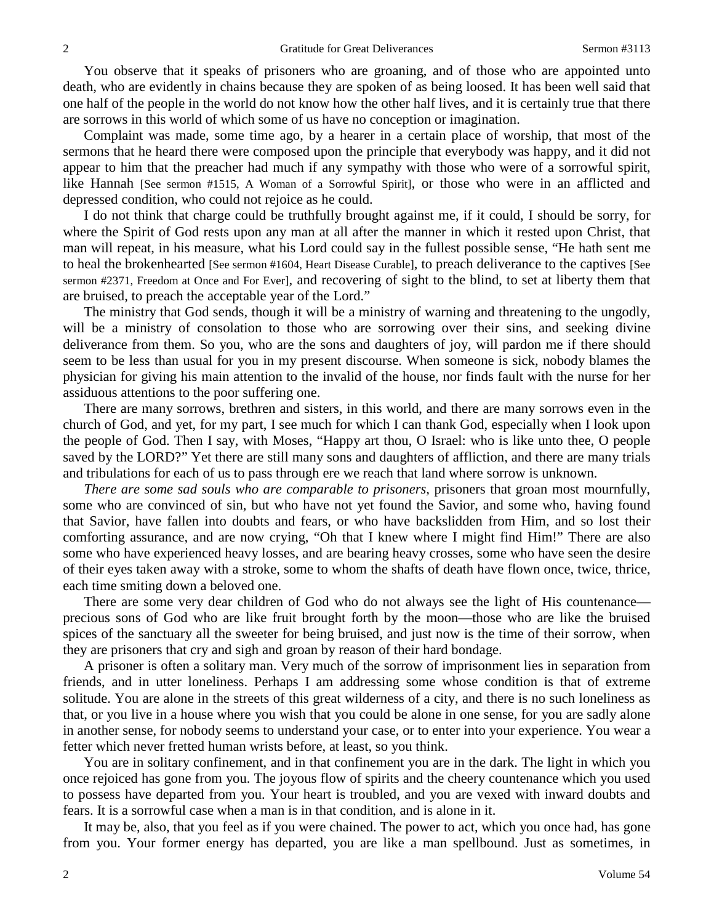You observe that it speaks of prisoners who are groaning, and of those who are appointed unto death, who are evidently in chains because they are spoken of as being loosed. It has been well said that one half of the people in the world do not know how the other half lives, and it is certainly true that there are sorrows in this world of which some of us have no conception or imagination.

Complaint was made, some time ago, by a hearer in a certain place of worship, that most of the sermons that he heard there were composed upon the principle that everybody was happy, and it did not appear to him that the preacher had much if any sympathy with those who were of a sorrowful spirit, like Hannah [See sermon #1515, A Woman of a Sorrowful Spirit], or those who were in an afflicted and depressed condition, who could not rejoice as he could.

I do not think that charge could be truthfully brought against me, if it could, I should be sorry, for where the Spirit of God rests upon any man at all after the manner in which it rested upon Christ, that man will repeat, in his measure, what his Lord could say in the fullest possible sense, "He hath sent me to heal the brokenhearted [See sermon #1604, Heart Disease Curable], to preach deliverance to the captives [See sermon #2371, Freedom at Once and For Ever], and recovering of sight to the blind, to set at liberty them that are bruised, to preach the acceptable year of the Lord."

The ministry that God sends, though it will be a ministry of warning and threatening to the ungodly, will be a ministry of consolation to those who are sorrowing over their sins, and seeking divine deliverance from them. So you, who are the sons and daughters of joy, will pardon me if there should seem to be less than usual for you in my present discourse. When someone is sick, nobody blames the physician for giving his main attention to the invalid of the house, nor finds fault with the nurse for her assiduous attentions to the poor suffering one.

There are many sorrows, brethren and sisters, in this world, and there are many sorrows even in the church of God, and yet, for my part, I see much for which I can thank God, especially when I look upon the people of God. Then I say, with Moses, "Happy art thou, O Israel: who is like unto thee, O people saved by the LORD?" Yet there are still many sons and daughters of affliction, and there are many trials and tribulations for each of us to pass through ere we reach that land where sorrow is unknown.

*There are some sad souls who are comparable to prisoners,* prisoners that groan most mournfully, some who are convinced of sin, but who have not yet found the Savior, and some who, having found that Savior, have fallen into doubts and fears, or who have backslidden from Him, and so lost their comforting assurance, and are now crying, "Oh that I knew where I might find Him!" There are also some who have experienced heavy losses, and are bearing heavy crosses, some who have seen the desire of their eyes taken away with a stroke, some to whom the shafts of death have flown once, twice, thrice, each time smiting down a beloved one.

There are some very dear children of God who do not always see the light of His countenance precious sons of God who are like fruit brought forth by the moon—those who are like the bruised spices of the sanctuary all the sweeter for being bruised, and just now is the time of their sorrow, when they are prisoners that cry and sigh and groan by reason of their hard bondage.

A prisoner is often a solitary man. Very much of the sorrow of imprisonment lies in separation from friends, and in utter loneliness. Perhaps I am addressing some whose condition is that of extreme solitude. You are alone in the streets of this great wilderness of a city, and there is no such loneliness as that, or you live in a house where you wish that you could be alone in one sense, for you are sadly alone in another sense, for nobody seems to understand your case, or to enter into your experience. You wear a fetter which never fretted human wrists before, at least, so you think.

You are in solitary confinement, and in that confinement you are in the dark. The light in which you once rejoiced has gone from you. The joyous flow of spirits and the cheery countenance which you used to possess have departed from you. Your heart is troubled, and you are vexed with inward doubts and fears. It is a sorrowful case when a man is in that condition, and is alone in it.

It may be, also, that you feel as if you were chained. The power to act, which you once had, has gone from you. Your former energy has departed, you are like a man spellbound. Just as sometimes, in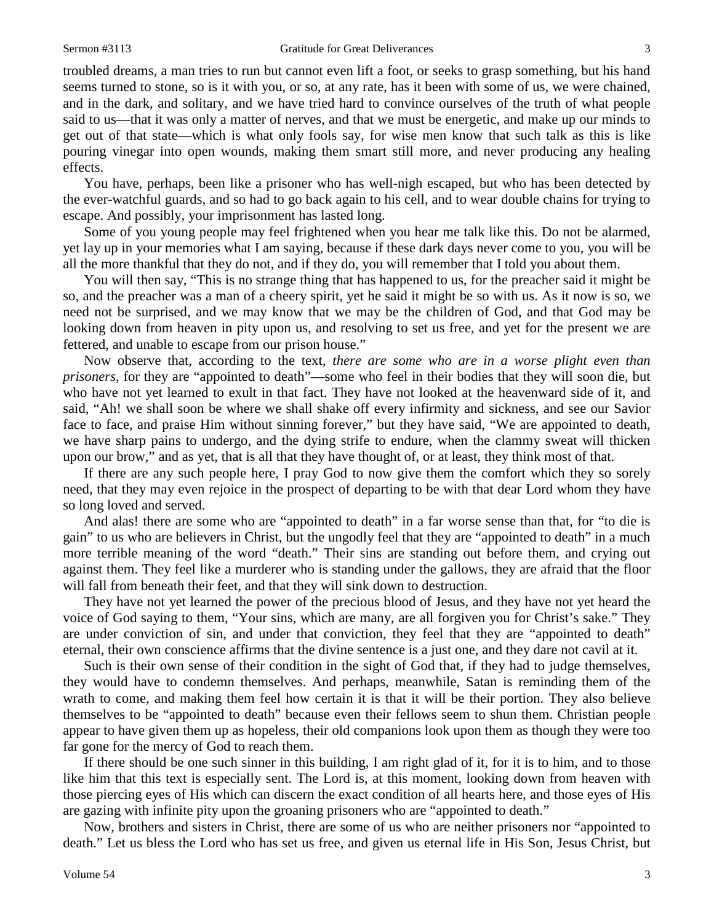troubled dreams, a man tries to run but cannot even lift a foot, or seeks to grasp something, but his hand seems turned to stone, so is it with you, or so, at any rate, has it been with some of us, we were chained, and in the dark, and solitary, and we have tried hard to convince ourselves of the truth of what people said to us—that it was only a matter of nerves, and that we must be energetic, and make up our minds to get out of that state—which is what only fools say, for wise men know that such talk as this is like pouring vinegar into open wounds, making them smart still more, and never producing any healing effects.

You have, perhaps, been like a prisoner who has well-nigh escaped, but who has been detected by the ever-watchful guards, and so had to go back again to his cell, and to wear double chains for trying to escape. And possibly, your imprisonment has lasted long.

Some of you young people may feel frightened when you hear me talk like this. Do not be alarmed, yet lay up in your memories what I am saying, because if these dark days never come to you, you will be all the more thankful that they do not, and if they do, you will remember that I told you about them.

You will then say, "This is no strange thing that has happened to us, for the preacher said it might be so, and the preacher was a man of a cheery spirit, yet he said it might be so with us. As it now is so, we need not be surprised, and we may know that we may be the children of God, and that God may be looking down from heaven in pity upon us, and resolving to set us free, and yet for the present we are fettered, and unable to escape from our prison house."

Now observe that, according to the text, *there are some who are in a worse plight even than prisoners,* for they are "appointed to death"—some who feel in their bodies that they will soon die, but who have not yet learned to exult in that fact. They have not looked at the heavenward side of it, and said, "Ah! we shall soon be where we shall shake off every infirmity and sickness, and see our Savior face to face, and praise Him without sinning forever," but they have said, "We are appointed to death, we have sharp pains to undergo, and the dying strife to endure, when the clammy sweat will thicken upon our brow," and as yet, that is all that they have thought of, or at least, they think most of that.

If there are any such people here, I pray God to now give them the comfort which they so sorely need, that they may even rejoice in the prospect of departing to be with that dear Lord whom they have so long loved and served.

And alas! there are some who are "appointed to death" in a far worse sense than that, for "to die is gain" to us who are believers in Christ, but the ungodly feel that they are "appointed to death" in a much more terrible meaning of the word "death." Their sins are standing out before them, and crying out against them. They feel like a murderer who is standing under the gallows, they are afraid that the floor will fall from beneath their feet, and that they will sink down to destruction.

They have not yet learned the power of the precious blood of Jesus, and they have not yet heard the voice of God saying to them, "Your sins, which are many, are all forgiven you for Christ's sake." They are under conviction of sin, and under that conviction, they feel that they are "appointed to death" eternal, their own conscience affirms that the divine sentence is a just one, and they dare not cavil at it.

Such is their own sense of their condition in the sight of God that, if they had to judge themselves, they would have to condemn themselves. And perhaps, meanwhile, Satan is reminding them of the wrath to come, and making them feel how certain it is that it will be their portion. They also believe themselves to be "appointed to death" because even their fellows seem to shun them. Christian people appear to have given them up as hopeless, their old companions look upon them as though they were too far gone for the mercy of God to reach them.

If there should be one such sinner in this building, I am right glad of it, for it is to him, and to those like him that this text is especially sent. The Lord is, at this moment, looking down from heaven with those piercing eyes of His which can discern the exact condition of all hearts here, and those eyes of His are gazing with infinite pity upon the groaning prisoners who are "appointed to death."

Now, brothers and sisters in Christ, there are some of us who are neither prisoners nor "appointed to death." Let us bless the Lord who has set us free, and given us eternal life in His Son, Jesus Christ, but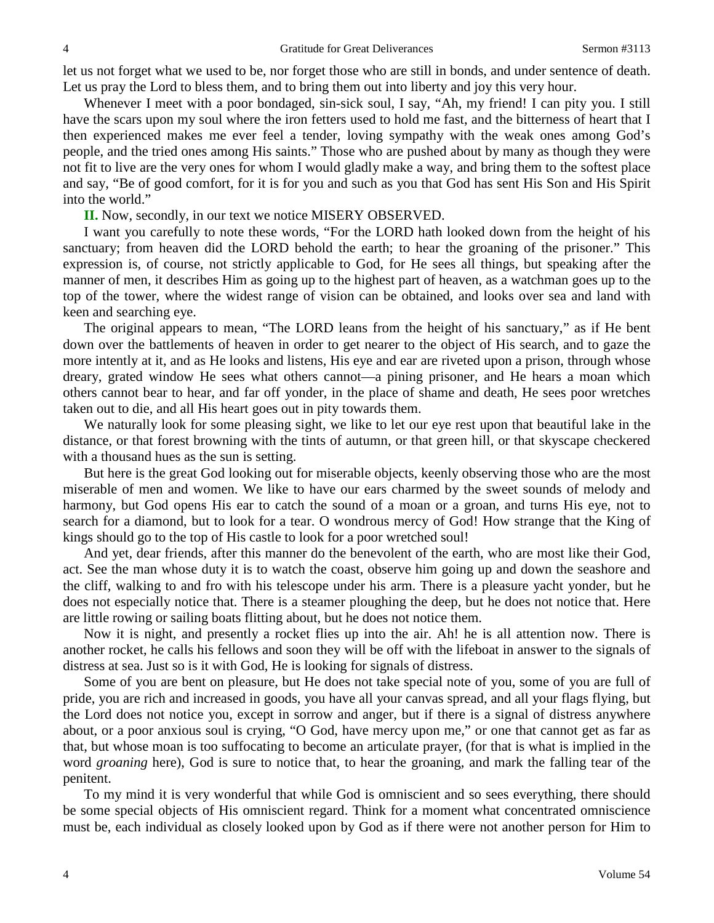let us not forget what we used to be, nor forget those who are still in bonds, and under sentence of death. Let us pray the Lord to bless them, and to bring them out into liberty and joy this very hour.

Whenever I meet with a poor bondaged, sin-sick soul, I say, "Ah, my friend! I can pity you. I still have the scars upon my soul where the iron fetters used to hold me fast, and the bitterness of heart that I then experienced makes me ever feel a tender, loving sympathy with the weak ones among God's people, and the tried ones among His saints." Those who are pushed about by many as though they were not fit to live are the very ones for whom I would gladly make a way, and bring them to the softest place and say, "Be of good comfort, for it is for you and such as you that God has sent His Son and His Spirit into the world."

**II.** Now, secondly, in our text we notice MISERY OBSERVED.

I want you carefully to note these words, "For the LORD hath looked down from the height of his sanctuary; from heaven did the LORD behold the earth; to hear the groaning of the prisoner." This expression is, of course, not strictly applicable to God, for He sees all things, but speaking after the manner of men, it describes Him as going up to the highest part of heaven, as a watchman goes up to the top of the tower, where the widest range of vision can be obtained, and looks over sea and land with keen and searching eye.

The original appears to mean, "The LORD leans from the height of his sanctuary," as if He bent down over the battlements of heaven in order to get nearer to the object of His search, and to gaze the more intently at it, and as He looks and listens, His eye and ear are riveted upon a prison, through whose dreary, grated window He sees what others cannot—a pining prisoner, and He hears a moan which others cannot bear to hear, and far off yonder, in the place of shame and death, He sees poor wretches taken out to die, and all His heart goes out in pity towards them.

We naturally look for some pleasing sight, we like to let our eye rest upon that beautiful lake in the distance, or that forest browning with the tints of autumn, or that green hill, or that skyscape checkered with a thousand hues as the sun is setting.

But here is the great God looking out for miserable objects, keenly observing those who are the most miserable of men and women. We like to have our ears charmed by the sweet sounds of melody and harmony, but God opens His ear to catch the sound of a moan or a groan, and turns His eye, not to search for a diamond, but to look for a tear. O wondrous mercy of God! How strange that the King of kings should go to the top of His castle to look for a poor wretched soul!

And yet, dear friends, after this manner do the benevolent of the earth, who are most like their God, act. See the man whose duty it is to watch the coast, observe him going up and down the seashore and the cliff, walking to and fro with his telescope under his arm. There is a pleasure yacht yonder, but he does not especially notice that. There is a steamer ploughing the deep, but he does not notice that. Here are little rowing or sailing boats flitting about, but he does not notice them.

Now it is night, and presently a rocket flies up into the air. Ah! he is all attention now. There is another rocket, he calls his fellows and soon they will be off with the lifeboat in answer to the signals of distress at sea. Just so is it with God, He is looking for signals of distress.

Some of you are bent on pleasure, but He does not take special note of you, some of you are full of pride, you are rich and increased in goods, you have all your canvas spread, and all your flags flying, but the Lord does not notice you, except in sorrow and anger, but if there is a signal of distress anywhere about, or a poor anxious soul is crying, "O God, have mercy upon me," or one that cannot get as far as that, but whose moan is too suffocating to become an articulate prayer, (for that is what is implied in the word *groaning* here), God is sure to notice that, to hear the groaning, and mark the falling tear of the penitent.

To my mind it is very wonderful that while God is omniscient and so sees everything, there should be some special objects of His omniscient regard. Think for a moment what concentrated omniscience must be, each individual as closely looked upon by God as if there were not another person for Him to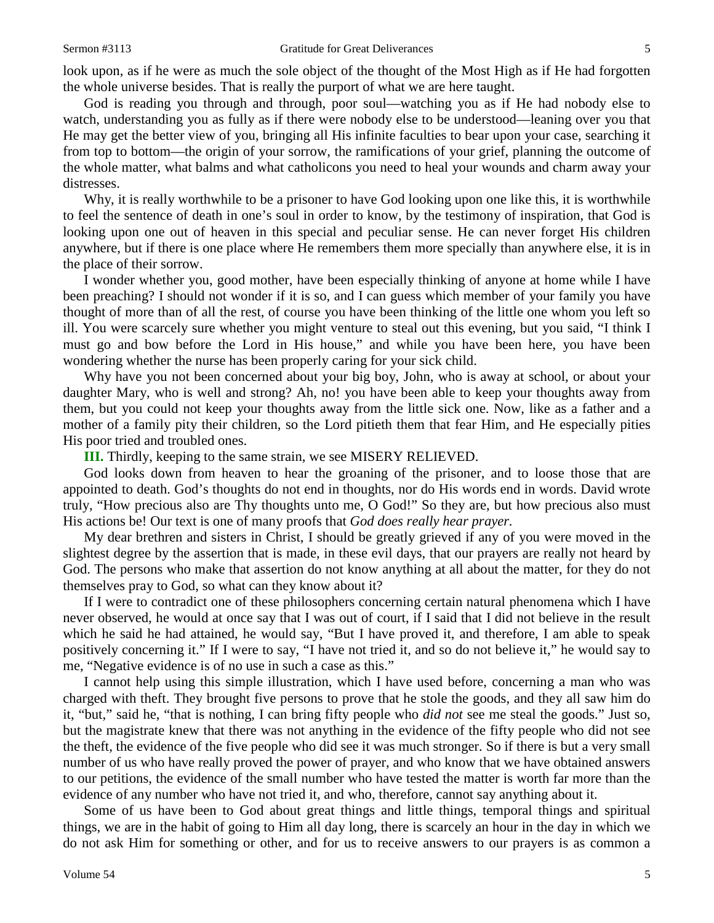look upon, as if he were as much the sole object of the thought of the Most High as if He had forgotten the whole universe besides. That is really the purport of what we are here taught.

God is reading you through and through, poor soul—watching you as if He had nobody else to watch, understanding you as fully as if there were nobody else to be understood—leaning over you that He may get the better view of you, bringing all His infinite faculties to bear upon your case, searching it from top to bottom—the origin of your sorrow, the ramifications of your grief, planning the outcome of the whole matter, what balms and what catholicons you need to heal your wounds and charm away your distresses.

Why, it is really worthwhile to be a prisoner to have God looking upon one like this, it is worthwhile to feel the sentence of death in one's soul in order to know, by the testimony of inspiration, that God is looking upon one out of heaven in this special and peculiar sense. He can never forget His children anywhere, but if there is one place where He remembers them more specially than anywhere else, it is in the place of their sorrow.

I wonder whether you, good mother, have been especially thinking of anyone at home while I have been preaching? I should not wonder if it is so, and I can guess which member of your family you have thought of more than of all the rest, of course you have been thinking of the little one whom you left so ill. You were scarcely sure whether you might venture to steal out this evening, but you said, "I think I must go and bow before the Lord in His house," and while you have been here, you have been wondering whether the nurse has been properly caring for your sick child.

Why have you not been concerned about your big boy, John, who is away at school, or about your daughter Mary, who is well and strong? Ah, no! you have been able to keep your thoughts away from them, but you could not keep your thoughts away from the little sick one. Now, like as a father and a mother of a family pity their children, so the Lord pitieth them that fear Him, and He especially pities His poor tried and troubled ones.

**III.** Thirdly, keeping to the same strain, we see MISERY RELIEVED.

God looks down from heaven to hear the groaning of the prisoner, and to loose those that are appointed to death. God's thoughts do not end in thoughts, nor do His words end in words. David wrote truly, "How precious also are Thy thoughts unto me, O God!" So they are, but how precious also must His actions be! Our text is one of many proofs that *God does really hear prayer.* 

My dear brethren and sisters in Christ, I should be greatly grieved if any of you were moved in the slightest degree by the assertion that is made, in these evil days, that our prayers are really not heard by God. The persons who make that assertion do not know anything at all about the matter, for they do not themselves pray to God, so what can they know about it?

If I were to contradict one of these philosophers concerning certain natural phenomena which I have never observed, he would at once say that I was out of court, if I said that I did not believe in the result which he said he had attained, he would say, "But I have proved it, and therefore, I am able to speak positively concerning it." If I were to say, "I have not tried it, and so do not believe it," he would say to me, "Negative evidence is of no use in such a case as this."

I cannot help using this simple illustration, which I have used before, concerning a man who was charged with theft. They brought five persons to prove that he stole the goods, and they all saw him do it, "but," said he, "that is nothing, I can bring fifty people who *did not* see me steal the goods." Just so, but the magistrate knew that there was not anything in the evidence of the fifty people who did not see the theft, the evidence of the five people who did see it was much stronger. So if there is but a very small number of us who have really proved the power of prayer, and who know that we have obtained answers to our petitions, the evidence of the small number who have tested the matter is worth far more than the evidence of any number who have not tried it, and who, therefore, cannot say anything about it.

Some of us have been to God about great things and little things, temporal things and spiritual things, we are in the habit of going to Him all day long, there is scarcely an hour in the day in which we do not ask Him for something or other, and for us to receive answers to our prayers is as common a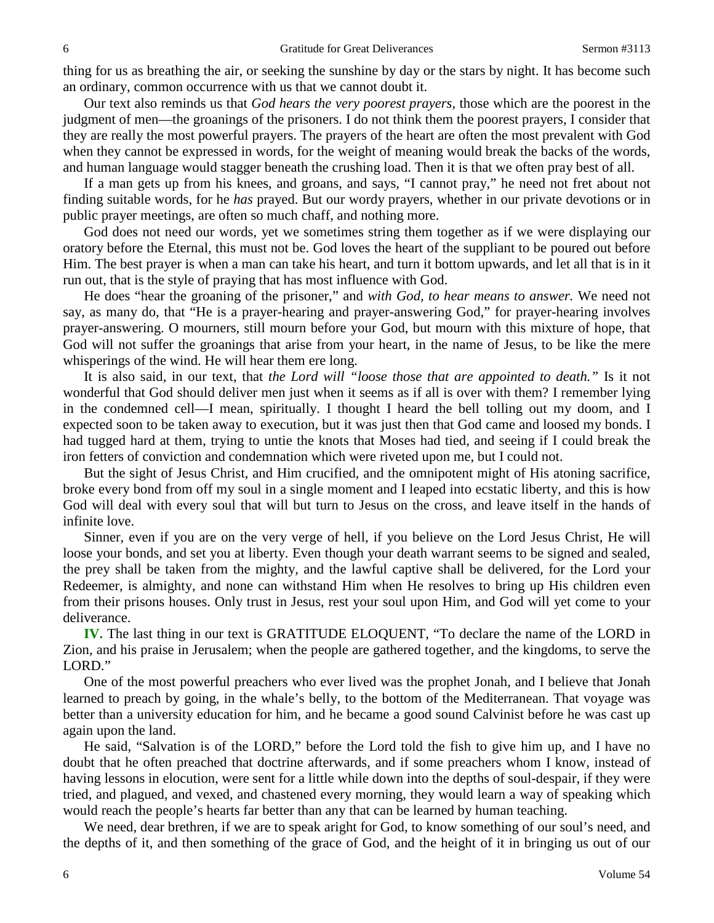thing for us as breathing the air, or seeking the sunshine by day or the stars by night. It has become such an ordinary, common occurrence with us that we cannot doubt it.

Our text also reminds us that *God hears the very poorest prayers,* those which are the poorest in the judgment of men—the groanings of the prisoners. I do not think them the poorest prayers, I consider that they are really the most powerful prayers. The prayers of the heart are often the most prevalent with God when they cannot be expressed in words, for the weight of meaning would break the backs of the words, and human language would stagger beneath the crushing load. Then it is that we often pray best of all.

If a man gets up from his knees, and groans, and says, "I cannot pray," he need not fret about not finding suitable words, for he *has* prayed. But our wordy prayers, whether in our private devotions or in public prayer meetings, are often so much chaff, and nothing more.

God does not need our words, yet we sometimes string them together as if we were displaying our oratory before the Eternal, this must not be. God loves the heart of the suppliant to be poured out before Him. The best prayer is when a man can take his heart, and turn it bottom upwards, and let all that is in it run out, that is the style of praying that has most influence with God.

He does "hear the groaning of the prisoner," and *with God, to hear means to answer.* We need not say, as many do, that "He is a prayer-hearing and prayer-answering God," for prayer-hearing involves prayer-answering. O mourners, still mourn before your God, but mourn with this mixture of hope, that God will not suffer the groanings that arise from your heart, in the name of Jesus, to be like the mere whisperings of the wind. He will hear them ere long.

It is also said, in our text, that *the Lord will "loose those that are appointed to death."* Is it not wonderful that God should deliver men just when it seems as if all is over with them? I remember lying in the condemned cell—I mean, spiritually. I thought I heard the bell tolling out my doom, and I expected soon to be taken away to execution, but it was just then that God came and loosed my bonds. I had tugged hard at them, trying to untie the knots that Moses had tied, and seeing if I could break the iron fetters of conviction and condemnation which were riveted upon me, but I could not.

But the sight of Jesus Christ, and Him crucified, and the omnipotent might of His atoning sacrifice, broke every bond from off my soul in a single moment and I leaped into ecstatic liberty, and this is how God will deal with every soul that will but turn to Jesus on the cross, and leave itself in the hands of infinite love.

Sinner, even if you are on the very verge of hell, if you believe on the Lord Jesus Christ, He will loose your bonds, and set you at liberty. Even though your death warrant seems to be signed and sealed, the prey shall be taken from the mighty, and the lawful captive shall be delivered, for the Lord your Redeemer, is almighty, and none can withstand Him when He resolves to bring up His children even from their prisons houses. Only trust in Jesus, rest your soul upon Him, and God will yet come to your deliverance.

**IV.** The last thing in our text is GRATITUDE ELOQUENT, "To declare the name of the LORD in Zion, and his praise in Jerusalem; when the people are gathered together, and the kingdoms, to serve the LORD."

One of the most powerful preachers who ever lived was the prophet Jonah, and I believe that Jonah learned to preach by going, in the whale's belly, to the bottom of the Mediterranean. That voyage was better than a university education for him, and he became a good sound Calvinist before he was cast up again upon the land.

He said, "Salvation is of the LORD," before the Lord told the fish to give him up, and I have no doubt that he often preached that doctrine afterwards, and if some preachers whom I know, instead of having lessons in elocution, were sent for a little while down into the depths of soul-despair, if they were tried, and plagued, and vexed, and chastened every morning, they would learn a way of speaking which would reach the people's hearts far better than any that can be learned by human teaching.

We need, dear brethren, if we are to speak aright for God, to know something of our soul's need, and the depths of it, and then something of the grace of God, and the height of it in bringing us out of our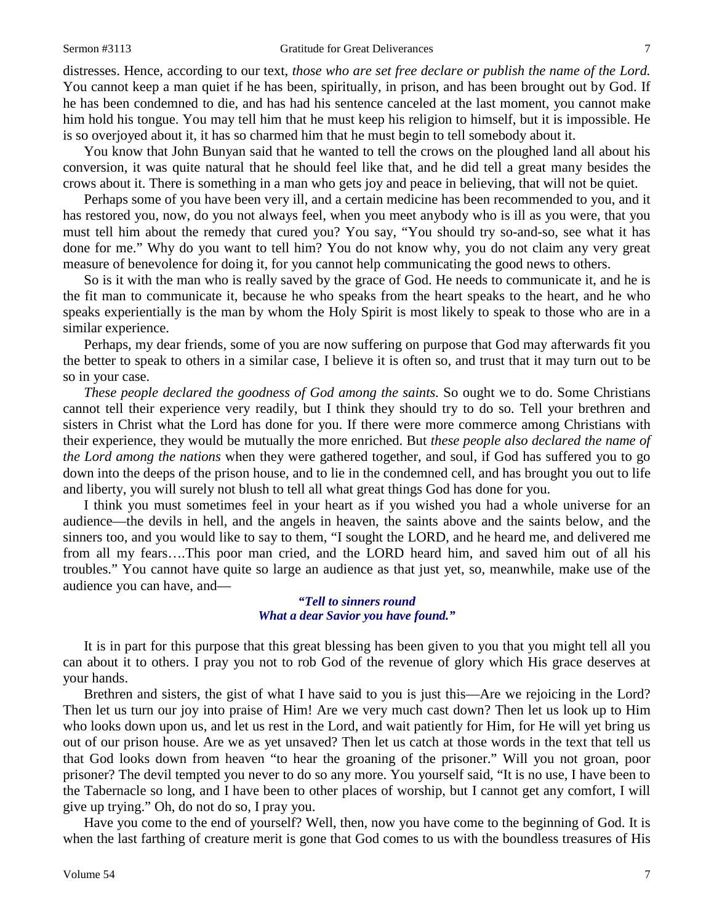distresses. Hence, according to our text, *those who are set free declare or publish the name of the Lord.*  You cannot keep a man quiet if he has been, spiritually, in prison, and has been brought out by God. If he has been condemned to die, and has had his sentence canceled at the last moment, you cannot make him hold his tongue. You may tell him that he must keep his religion to himself, but it is impossible. He is so overjoyed about it, it has so charmed him that he must begin to tell somebody about it.

You know that John Bunyan said that he wanted to tell the crows on the ploughed land all about his conversion, it was quite natural that he should feel like that, and he did tell a great many besides the crows about it. There is something in a man who gets joy and peace in believing, that will not be quiet.

Perhaps some of you have been very ill, and a certain medicine has been recommended to you, and it has restored you, now, do you not always feel, when you meet anybody who is ill as you were, that you must tell him about the remedy that cured you? You say, "You should try so-and-so, see what it has done for me." Why do you want to tell him? You do not know why, you do not claim any very great measure of benevolence for doing it, for you cannot help communicating the good news to others.

So is it with the man who is really saved by the grace of God. He needs to communicate it, and he is the fit man to communicate it, because he who speaks from the heart speaks to the heart, and he who speaks experientially is the man by whom the Holy Spirit is most likely to speak to those who are in a similar experience.

Perhaps, my dear friends, some of you are now suffering on purpose that God may afterwards fit you the better to speak to others in a similar case, I believe it is often so, and trust that it may turn out to be so in your case.

*These people declared the goodness of God among the saints.* So ought we to do. Some Christians cannot tell their experience very readily, but I think they should try to do so. Tell your brethren and sisters in Christ what the Lord has done for you. If there were more commerce among Christians with their experience, they would be mutually the more enriched. But *these people also declared the name of the Lord among the nations* when they were gathered together, and soul, if God has suffered you to go down into the deeps of the prison house, and to lie in the condemned cell, and has brought you out to life and liberty, you will surely not blush to tell all what great things God has done for you.

I think you must sometimes feel in your heart as if you wished you had a whole universe for an audience—the devils in hell, and the angels in heaven, the saints above and the saints below, and the sinners too, and you would like to say to them, "I sought the LORD, and he heard me, and delivered me from all my fears….This poor man cried, and the LORD heard him, and saved him out of all his troubles." You cannot have quite so large an audience as that just yet, so, meanwhile, make use of the audience you can have, and—

### *"Tell to sinners round What a dear Savior you have found."*

It is in part for this purpose that this great blessing has been given to you that you might tell all you can about it to others. I pray you not to rob God of the revenue of glory which His grace deserves at your hands.

Brethren and sisters, the gist of what I have said to you is just this—Are we rejoicing in the Lord? Then let us turn our joy into praise of Him! Are we very much cast down? Then let us look up to Him who looks down upon us, and let us rest in the Lord, and wait patiently for Him, for He will yet bring us out of our prison house. Are we as yet unsaved? Then let us catch at those words in the text that tell us that God looks down from heaven "to hear the groaning of the prisoner." Will you not groan, poor prisoner? The devil tempted you never to do so any more. You yourself said, "It is no use, I have been to the Tabernacle so long, and I have been to other places of worship, but I cannot get any comfort, I will give up trying." Oh, do not do so, I pray you.

Have you come to the end of yourself? Well, then, now you have come to the beginning of God. It is when the last farthing of creature merit is gone that God comes to us with the boundless treasures of His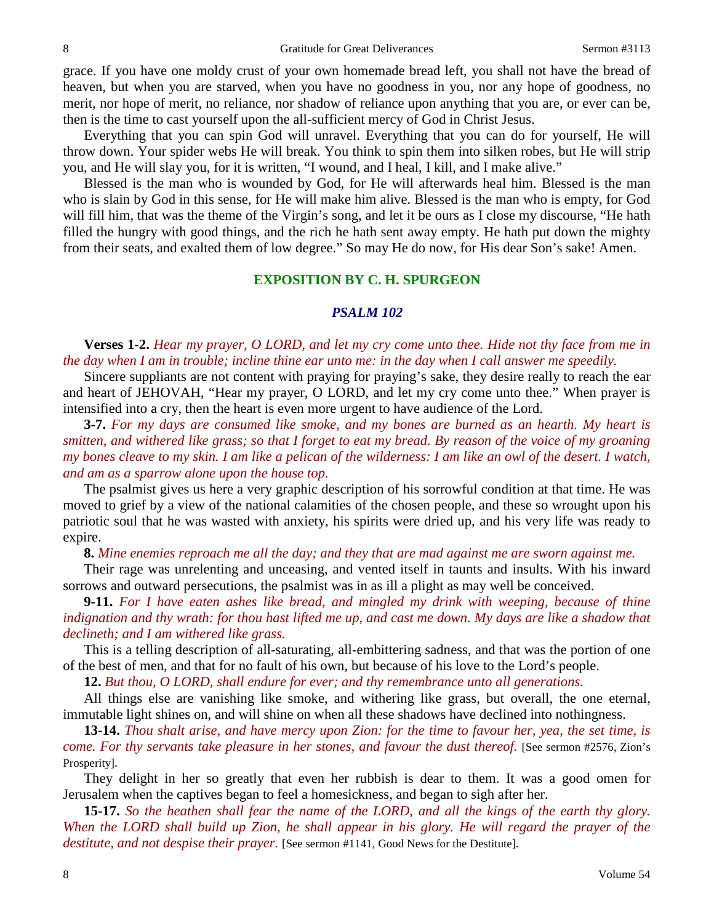grace. If you have one moldy crust of your own homemade bread left, you shall not have the bread of heaven, but when you are starved, when you have no goodness in you, nor any hope of goodness, no merit, nor hope of merit, no reliance, nor shadow of reliance upon anything that you are, or ever can be, then is the time to cast yourself upon the all-sufficient mercy of God in Christ Jesus.

Everything that you can spin God will unravel. Everything that you can do for yourself, He will throw down. Your spider webs He will break. You think to spin them into silken robes, but He will strip you, and He will slay you, for it is written, "I wound, and I heal, I kill, and I make alive."

Blessed is the man who is wounded by God, for He will afterwards heal him. Blessed is the man who is slain by God in this sense, for He will make him alive. Blessed is the man who is empty, for God will fill him, that was the theme of the Virgin's song, and let it be ours as I close my discourse, "He hath filled the hungry with good things, and the rich he hath sent away empty. He hath put down the mighty from their seats, and exalted them of low degree." So may He do now, for His dear Son's sake! Amen.

#### **EXPOSITION BY C. H. SPURGEON**

#### *PSALM 102*

**Verses 1-2.** *Hear my prayer, O LORD, and let my cry come unto thee. Hide not thy face from me in the day when I am in trouble; incline thine ear unto me: in the day when I call answer me speedily.*

Sincere suppliants are not content with praying for praying's sake, they desire really to reach the ear and heart of JEHOVAH, "Hear my prayer, O LORD, and let my cry come unto thee." When prayer is intensified into a cry, then the heart is even more urgent to have audience of the Lord.

**3-7.** *For my days are consumed like smoke, and my bones are burned as an hearth. My heart is smitten, and withered like grass; so that I forget to eat my bread. By reason of the voice of my groaning my bones cleave to my skin. I am like a pelican of the wilderness: I am like an owl of the desert. I watch, and am as a sparrow alone upon the house top.*

The psalmist gives us here a very graphic description of his sorrowful condition at that time. He was moved to grief by a view of the national calamities of the chosen people, and these so wrought upon his patriotic soul that he was wasted with anxiety, his spirits were dried up, and his very life was ready to expire.

**8.** *Mine enemies reproach me all the day; and they that are mad against me are sworn against me.*

Their rage was unrelenting and unceasing, and vented itself in taunts and insults. With his inward sorrows and outward persecutions, the psalmist was in as ill a plight as may well be conceived.

**9-11.** *For I have eaten ashes like bread, and mingled my drink with weeping, because of thine indignation and thy wrath: for thou hast lifted me up, and cast me down. My days are like a shadow that declineth; and I am withered like grass.*

This is a telling description of all-saturating, all-embittering sadness, and that was the portion of one of the best of men, and that for no fault of his own, but because of his love to the Lord's people.

**12.** *But thou, O LORD, shall endure for ever; and thy remembrance unto all generations.*

All things else are vanishing like smoke, and withering like grass, but overall, the one eternal, immutable light shines on, and will shine on when all these shadows have declined into nothingness.

**13-14.** *Thou shalt arise, and have mercy upon Zion: for the time to favour her, yea, the set time, is come. For thy servants take pleasure in her stones, and favour the dust thereof.* [See sermon #2576, Zion's Prosperity]*.* 

They delight in her so greatly that even her rubbish is dear to them. It was a good omen for Jerusalem when the captives began to feel a homesickness, and began to sigh after her.

**15-17.** *So the heathen shall fear the name of the LORD, and all the kings of the earth thy glory. When the LORD shall build up Zion, he shall appear in his glory. He will regard the prayer of the destitute, and not despise their prayer.* [See sermon #1141, Good News for the Destitute]*.*